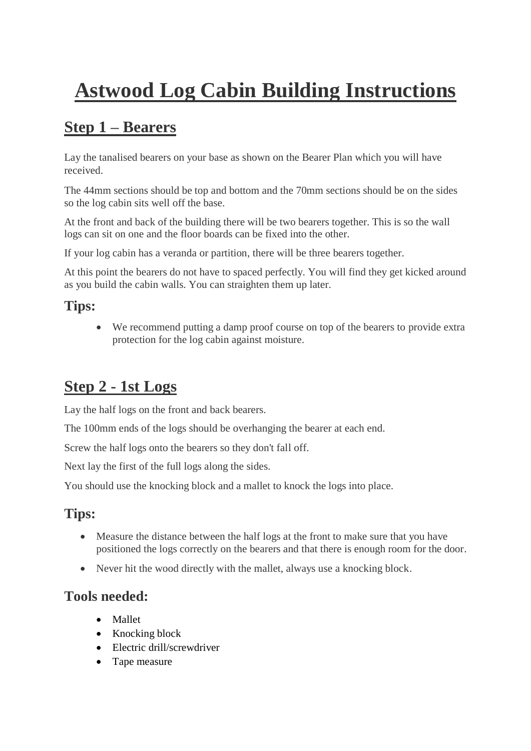# **Astwood Log Cabin Building Instructions**

# **Step 1 – Bearers**

Lay the tanalised bearers on your base as shown on the Bearer Plan which you will have received.

The 44mm sections should be top and bottom and the 70mm sections should be on the sides so the log cabin sits well off the base.

At the front and back of the building there will be two bearers together. This is so the wall logs can sit on one and the floor boards can be fixed into the other.

If your log cabin has a veranda or partition, there will be three bearers together.

At this point the bearers do not have to spaced perfectly. You will find they get kicked around as you build the cabin walls. You can straighten them up later.

#### **Tips:**

• We recommend putting a damp proof course on top of the bearers to provide extra protection for the log cabin against moisture.

# **Step 2 - 1st Logs**

Lay the half logs on the front and back bearers.

The 100mm ends of the logs should be overhanging the bearer at each end.

Screw the half logs onto the bearers so they don't fall off.

Next lay the first of the full logs along the sides.

You should use the knocking block and a mallet to knock the logs into place.

#### **Tips:**

- Measure the distance between the half logs at the front to make sure that you have positioned the logs correctly on the bearers and that there is enough room for the door.
- Never hit the wood directly with the mallet, always use a knocking block.

#### **Tools needed:**

- Mallet
- Knocking block
- Electric drill/screwdriver
- Tape measure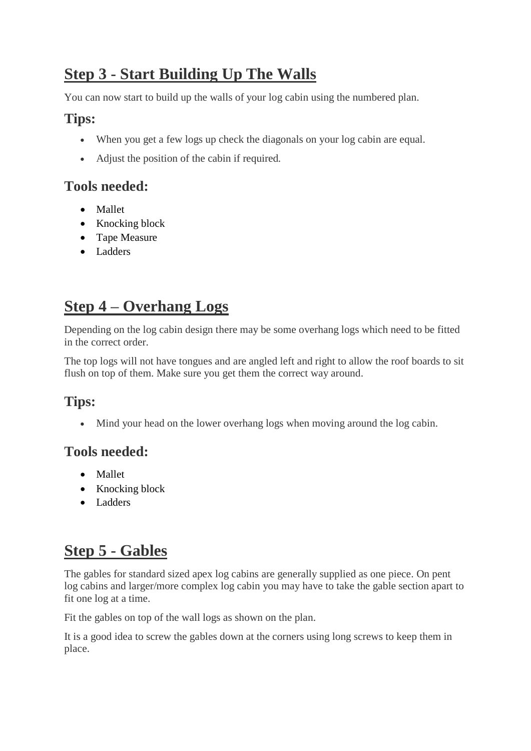# **Step 3 - Start Building Up The Walls**

You can now start to build up the walls of your log cabin using the numbered plan.

#### **Tips:**

- When you get a few logs up check the diagonals on your log cabin are equal.
- Adjust the position of the cabin if required.

#### **Tools needed:**

- Mallet
- Knocking block
- Tape Measure
- Ladders

### **Step 4 – Overhang Logs**

Depending on the log cabin design there may be some overhang logs which need to be fitted in the correct order.

The top logs will not have tongues and are angled left and right to allow the roof boards to sit flush on top of them. Make sure you get them the correct way around.

#### **Tips:**

• Mind your head on the lower overhang logs when moving around the log cabin.

#### **Tools needed:**

- Mallet
- Knocking block
- Ladders

# **Step 5 - Gables**

The gables for standard sized apex log cabins are generally supplied as one piece. On pent log cabins and larger/more complex log cabin you may have to take the gable section apart to fit one log at a time.

Fit the gables on top of the wall logs as shown on the plan.

It is a good idea to screw the gables down at the corners using long screws to keep them in place.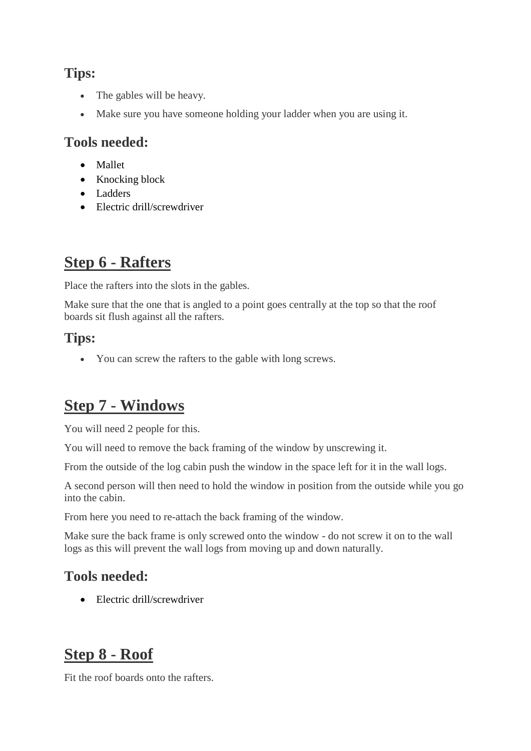#### **Tips:**

- The gables will be heavy.
- Make sure you have someone holding your ladder when you are using it.

#### **Tools needed:**

- Mallet
- Knocking block
- Ladders
- Electric drill/screwdriver

# **Step 6 - Rafters**

Place the rafters into the slots in the gables.

Make sure that the one that is angled to a point goes centrally at the top so that the roof boards sit flush against all the rafters.

#### **Tips:**

• You can screw the rafters to the gable with long screws.

# **Step 7 - Windows**

You will need 2 people for this.

You will need to remove the back framing of the window by unscrewing it.

From the outside of the log cabin push the window in the space left for it in the wall logs.

A second person will then need to hold the window in position from the outside while you go into the cabin.

From here you need to re-attach the back framing of the window.

Make sure the back frame is only screwed onto the window - do not screw it on to the wall logs as this will prevent the wall logs from moving up and down naturally.

#### **Tools needed:**

• Electric drill/screwdriver

# **Step 8 - Roof**

Fit the roof boards onto the rafters.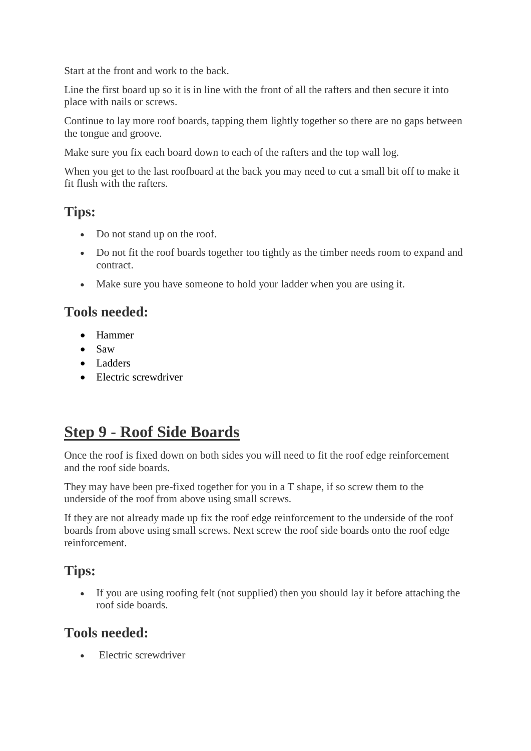Start at the front and work to the back.

Line the first board up so it is in line with the front of all the rafters and then secure it into place with nails or screws.

Continue to lay more roof boards, tapping them lightly together so there are no gaps between the tongue and groove.

Make sure you fix each board down to each of the rafters and the top wall log.

When you get to the last roofboard at the back you may need to cut a small bit off to make it fit flush with the rafters.

#### **Tips:**

- Do not stand up on the roof.
- Do not fit the roof boards together too tightly as the timber needs room to expand and contract.
- Make sure you have someone to hold your ladder when you are using it.

#### **Tools needed:**

- Hammer
- Saw
- Ladders
- Electric screwdriver

### **Step 9 - Roof Side Boards**

Once the roof is fixed down on both sides you will need to fit the roof edge reinforcement and the roof side boards.

They may have been pre-fixed together for you in a T shape, if so screw them to the underside of the roof from above using small screws.

If they are not already made up fix the roof edge reinforcement to the underside of the roof boards from above using small screws. Next screw the roof side boards onto the roof edge reinforcement.

#### **Tips:**

• If you are using roofing felt (not supplied) then you should lay it before attaching the roof side boards.

#### **Tools needed:**

Electric screwdriver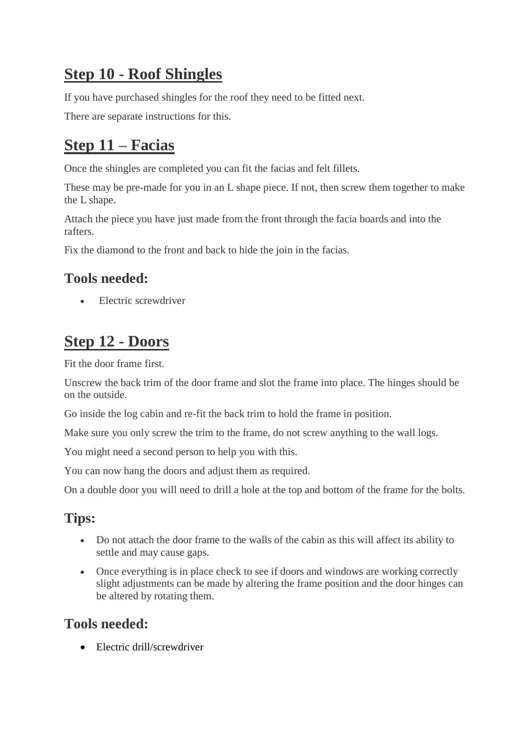# **Step 10 - Roof Shingles**

If you have purchased shingles for the roof they need to be fitted next.

There are separate instructions for this.

# **Step 11 – Facias**

Once the shingles are completed you can fit the facias and felt fillets.

These may be pre-made for you in an L shape piece. If not, then screw them together to make the L shape.

Attach the piece you have just made from the front through the facia boards and into the rafters.

Fix the diamond to the front and back to hide the join in the facias.

#### **Tools needed:**

• Electric screwdriver

# **Step 12 - Doors**

Fit the door frame first.

Unscrew the back trim of the door frame and slot the frame into place. The hinges should be on the outside.

Go inside the log cabin and re-fit the back trim to hold the frame in position.

Make sure you only screw the trim to the frame, do not screw anything to the wall logs.

You might need a second person to help you with this.

You can now hang the doors and adjust them as required.

On a double door you will need to drill a hole at the top and bottom of the frame for the bolts.

#### **Tips:**

- Do not attach the door frame to the walls of the cabin as this will affect its ability to settle and may cause gaps.
- Once everything is in place check to see if doors and windows are working correctly slight adjustments can be made by altering the frame position and the door hinges can be altered by rotating them.

#### **Tools needed:**

• Electric drill/screwdriver